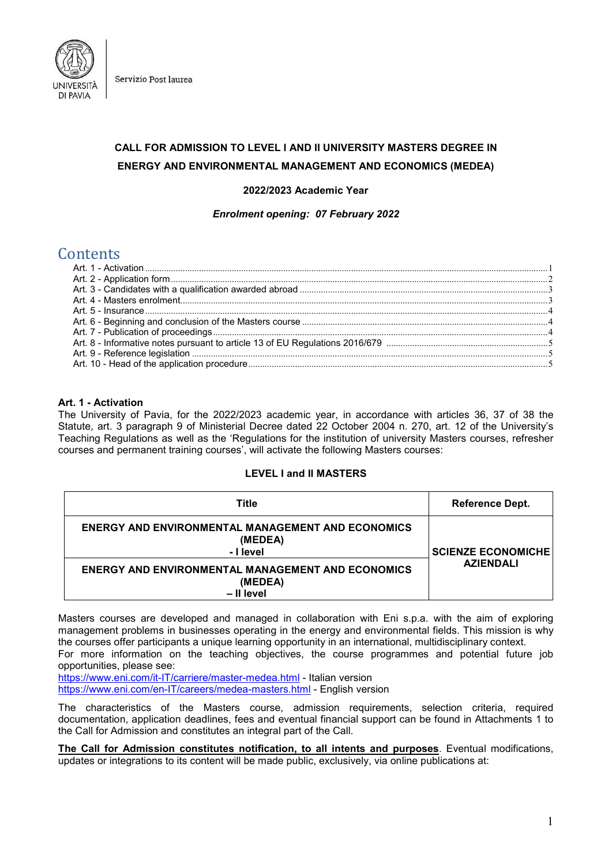

Servizio Post laurea

# **CALL FOR ADMISSION TO LEVEL I AND II UNIVERSITY MASTERS DEGREE IN ENERGY AND ENVIRONMENTAL MANAGEMENT AND ECONOMICS (MEDEA)**

## **2022/2023 Academic Year**

*Enrolment opening: 07 February 2022*

# **Contents**

## <span id="page-0-0"></span>**Art. 1 - Activation**

The University of Pavia, for the 2022/2023 academic year, in accordance with articles 36, 37 of 38 the Statute, art. 3 paragraph 9 of Ministerial Decree dated 22 October 2004 n. 270, art. 12 of the University's Teaching Regulations as well as the 'Regulations for the institution of university Masters courses, refresher courses and permanent training courses', will activate the following Masters courses:

### **LEVEL I and II MASTERS**

| Title                                                                             | <b>Reference Dept.</b>                        |
|-----------------------------------------------------------------------------------|-----------------------------------------------|
| <b>ENERGY AND ENVIRONMENTAL MANAGEMENT AND ECONOMICS</b><br>(MEDEA)<br>- I level  | <b>SCIENZE ECONOMICHE</b><br><b>AZIENDALI</b> |
| <b>ENERGY AND ENVIRONMENTAL MANAGEMENT AND ECONOMICS</b><br>(MEDEA)<br>- Il level |                                               |

Masters courses are developed and managed in collaboration with Eni s.p.a. with the aim of exploring management problems in businesses operating in the energy and environmental fields. This mission is why the courses offer participants a unique learning opportunity in an international, multidisciplinary context.

For more information on the teaching objectives, the course programmes and potential future job opportunities, please see:

<https://www.eni.com/it-IT/carriere/master-medea.html> - Italian version

<https://www.eni.com/en-IT/careers/medea-masters.html> - English version

The characteristics of the Masters course, admission requirements, selection criteria, required documentation, application deadlines, fees and eventual financial support can be found in Attachments 1 to the Call for Admission and constitutes an integral part of the Call.

**The Call for Admission constitutes notification, to all intents and purposes**. Eventual modifications, updates or integrations to its content will be made public, exclusively, via online publications at: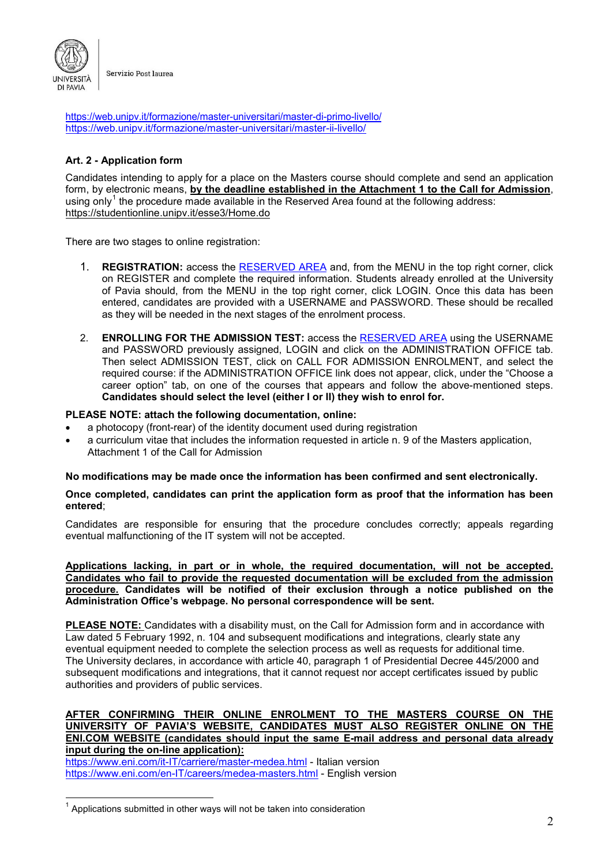

<https://web.unipv.it/formazione/master-universitari/master-di-primo-livello/> <https://web.unipv.it/formazione/master-universitari/master-ii-livello/>

# <span id="page-1-0"></span>**Art. 2 - Application form**

Candidates intending to apply for a place on the Masters course should complete and send an application form, by electronic means, **by the deadline established in the Attachment 1 to the Call for Admission**, using only<sup>[1](#page-1-1)</sup> the procedure made available in the Reserved Area found at the following address: <https://studentionline.unipv.it/esse3/Home.do>

There are two stages to online registration:

- 1. **REGISTRATION:** access the [RESERVED AREA](https://studentionline.unipv.it/esse3/Home.do) and, from the MENU in the top right corner, click on REGISTER and complete the required information. Students already enrolled at the University of Pavia should, from the MENU in the top right corner, click LOGIN. Once this data has been entered, candidates are provided with a USERNAME and PASSWORD. These should be recalled as they will be needed in the next stages of the enrolment process.
- 2. **ENROLLING FOR THE ADMISSION TEST:** access the [RESERVED](https://studentionline.unipv.it/esse3/Home.do) AREA using the USERNAME and PASSWORD previously assigned, LOGIN and click on the ADMINISTRATION OFFICE tab. Then select ADMISSION TEST, click on CALL FOR ADMISSION ENROLMENT, and select the required course: if the ADMINISTRATION OFFICE link does not appear, click, under the "Choose a career option" tab, on one of the courses that appears and follow the above-mentioned steps. **Candidates should select the level (either I or II) they wish to enrol for.**

## **PLEASE NOTE: attach the following documentation, online:**

- a photocopy (front-rear) of the identity document used during registration
- a curriculum vitae that includes the information requested in article n. 9 of the Masters application, Attachment 1 of the Call for Admission

## **No modifications may be made once the information has been confirmed and sent electronically.**

### **Once completed, candidates can print the application form as proof that the information has been entered**;

Candidates are responsible for ensuring that the procedure concludes correctly; appeals regarding eventual malfunctioning of the IT system will not be accepted.

**Applications lacking, in part or in whole, the required documentation, will not be accepted. Candidates who fail to provide the requested documentation will be excluded from the admission procedure. Candidates will be notified of their exclusion through a notice published on the Administration Office's webpage. No personal correspondence will be sent.**

**PLEASE NOTE:** Candidates with a disability must, on the Call for Admission form and in accordance with Law dated 5 February 1992, n. 104 and subsequent modifications and integrations, clearly state any eventual equipment needed to complete the selection process as well as requests for additional time. The University declares, in accordance with article 40, paragraph 1 of Presidential Decree 445/2000 and subsequent modifications and integrations, that it cannot request nor accept certificates issued by public authorities and providers of public services.

## **AFTER CONFIRMING THEIR ONLINE ENROLMENT TO THE MASTERS COURSE ON THE UNIVERSITY OF PAVIA'S WEBSITE, CANDIDATES MUST ALSO REGISTER ONLINE ON THE ENI.COM WEBSITE (candidates should input the same E-mail address and personal data already input during the on-line application):**

<https://www.eni.com/it-IT/carriere/master-medea.html> - Italian version <https://www.eni.com/en-IT/careers/medea-masters.html> - English version

<span id="page-1-1"></span> $1$  Applications submitted in other ways will not be taken into consideration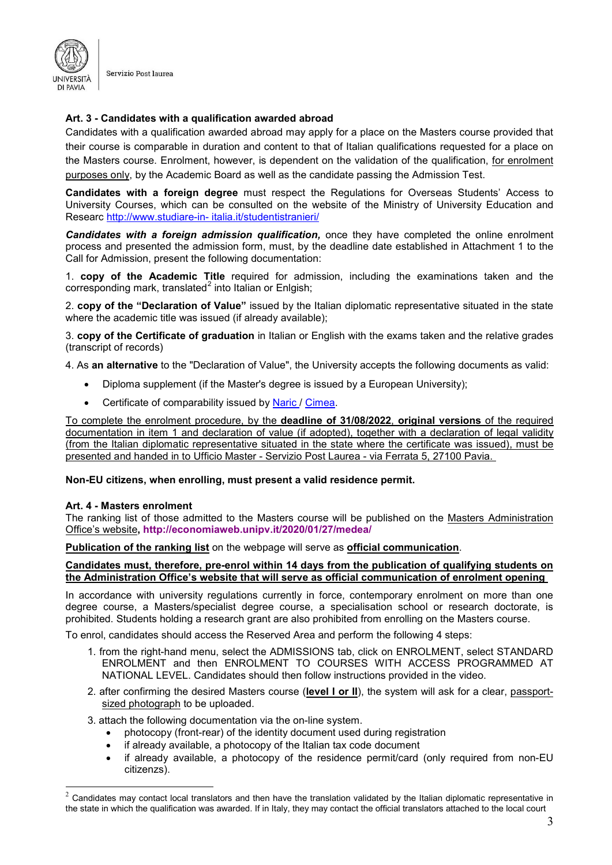

Servizio Post laurea

## <span id="page-2-0"></span>**Art. 3 - Candidates with a qualification awarded abroad**

Candidates with a qualification awarded abroad may apply for a place on the Masters course provided that their course is comparable in duration and content to that of Italian qualifications requested for a place on the Masters course. Enrolment, however, is dependent on the validation of the qualification, for enrolment purposes only, by the Academic Board as well as the candidate passing the Admission Test.

**Candidates with a foreign degree** must respect the Regulations for Overseas Students' Access to University Courses, which can be consulted on the website of the Ministry of University Education and Researc [http://www.studiare-in-](http://www.studiare-in-italia.it/studentistranieri/) [italia.it/studentistranieri/](http://www.studiare-in-italia.it/studentistranieri/)

*Candidates with a foreign admission qualification,* once they have completed the online enrolment process and presented the admission form, must, by the deadline date established in Attachment 1 to the Call for Admission, present the following documentation:

1. **copy of the Academic Title** required for admission, including the examinations taken and the corresponding mark, translated<sup>[2](#page-2-2)</sup> into Italian or Enlgish;

2. **copy of the "Declaration of Value"** issued by the Italian diplomatic representative situated in the state where the academic title was issued (if already available);

3. **copy of the Certificate of graduation** in Italian or English with the exams taken and the relative grades (transcript of records)

4. As **an alternative** to the "Declaration of Value", the University accepts the following documents as valid:

- Diploma supplement (if the Master's degree is issued by a European University);
- Certificate of comparability issued by [Naric /](https://www.enic-naric.net/italy.aspx) [Cimea.](http://www.cimea.it/it/index.aspx)

To complete the enrolment procedure, by the **deadline of 31/08/2022**, **original versions** of the required documentation in item 1 and declaration of value (if adopted), together with a declaration of legal validity (from the Italian diplomatic representative situated in the state where the certificate was issued), must be presented and handed in to Ufficio Master - Servizio Post Laurea - via Ferrata 5, 27100 Pavia.

#### <span id="page-2-1"></span>**Non-EU citizens, when enrolling, must present a valid residence permit.**

#### **Art. 4 - Masters enrolment**

The ranking list of those admitted to the Masters course will be published on the Masters Administration Office's website**,<http://economiaweb.unipv.it/2020/01/27/medea/>**

**Publication of the ranking list** on the webpage will serve as **official communication**.

## **Candidates must, therefore, pre-enrol within 14 days from the publication of qualifying students on the Administration Office's website that will serve as official communication of enrolment opening**

In accordance with university regulations currently in force, contemporary enrolment on more than one degree course, a Masters/specialist degree course, a specialisation school or research doctorate, is prohibited. Students holding a research grant are also prohibited from enrolling on the Masters course.

To enrol, candidates should access the Reserved Area and perform the following 4 steps:

- 1. from the right-hand menu, select the ADMISSIONS tab, click on ENROLMENT, select STANDARD ENROLMENT and then ENROLMENT TO COURSES WITH ACCESS PROGRAMMED AT NATIONAL LEVEL. Candidates should then follow instructions provided in the video.
- 2. after confirming the desired Masters course (**level I or II**), the system will ask for a clear, passportsized photograph to be uploaded.

3. attach the following documentation via the on-line system.

- photocopy (front-rear) of the identity document used during registration
- if already available, a photocopy of the Italian tax code document
- if already available, a photocopy of the residence permit/card (only required from non-EU citizenzs).

<span id="page-2-2"></span> $2$  Candidates may contact local translators and then have the translation validated by the Italian diplomatic representative in the state in which the qualification was awarded. If in Italy, they may contact the official translators attached to the local court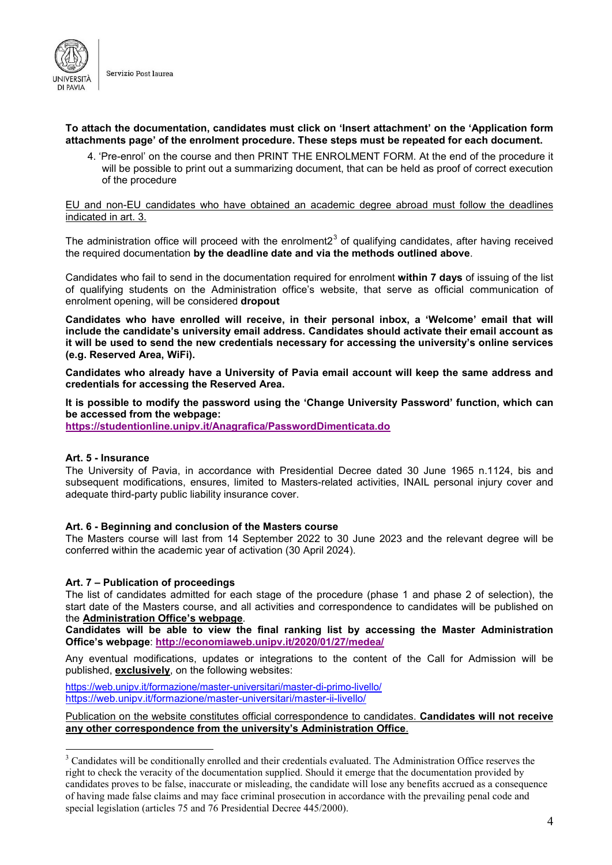

## **To attach the documentation, candidates must click on 'Insert attachment' on the 'Application form attachments page' of the enrolment procedure. These steps must be repeated for each document.**

4. 'Pre-enrol' on the course and then PRINT THE ENROLMENT FORM. At the end of the procedure it will be possible to print out a summarizing document, that can be held as proof of correct execution of the procedure

#### EU and non-EU candidates who have obtained an academic degree abroad must follow the deadlines indicated in art. 3.

The administration office will proceed with the enrolment $2<sup>3</sup>$  $2<sup>3</sup>$  $2<sup>3</sup>$  of qualifying candidates, after having received the required documentation **by the deadline date and via the methods outlined above**.

Candidates who fail to send in the documentation required for enrolment **within 7 days** of issuing of the list of qualifying students on the Administration office's website, that serve as official communication of enrolment opening, will be considered **dropout**

**Candidates who have enrolled will receive, in their personal inbox, a 'Welcome' email that will include the candidate's university email address. Candidates should activate their email account as it will be used to send the new credentials necessary for accessing the university's online services (e.g. Reserved Area, WiFi).**

**Candidates who already have a University of Pavia email account will keep the same address and credentials for accessing the Reserved Area.**

**It is possible to modify the password using the 'Change University Password' function, which can be accessed from the webpage:** 

<span id="page-3-0"></span>**<https://studentionline.unipv.it/Anagrafica/PasswordDimenticata.do>**

## **Art. 5 - Insurance**

The University of Pavia, in accordance with Presidential Decree dated 30 June 1965 n.1124, bis and subsequent modifications, ensures, limited to Masters-related activities, INAIL personal injury cover and adequate third-party public liability insurance cover.

## <span id="page-3-1"></span>**Art. 6 - Beginning and conclusion of the Masters course**

The Masters course will last from 14 September 2022 to 30 June 2023 and the relevant degree will be conferred within the academic year of activation (30 April 2024).

## <span id="page-3-2"></span>**Art. 7 – Publication of proceedings**

The list of candidates admitted for each stage of the procedure (phase 1 and phase 2 of selection), the start date of the Masters course, and all activities and correspondence to candidates will be published on the **Administration Office's webpage**.

**Candidates will be able to view the final ranking list by accessing the Master Administration Office's webpage**: **http://economiaweb.unipv.it/2020/01/27/medea/**

Any eventual modifications, updates or integrations to the content of the Call for Admission will be published, **exclusively**, on the following websites:

<https://web.unipv.it/formazione/master-universitari/master-di-primo-livello/> <https://web.unipv.it/formazione/master-universitari/master-ii-livello/>

## Publication on the website constitutes official correspondence to candidates. **Candidates will not receive any other correspondence from the university's Administration Office**.

<span id="page-3-3"></span><sup>&</sup>lt;sup>3</sup> Candidates will be conditionally enrolled and their credentials evaluated. The Administration Office reserves the right to check the veracity of the documentation supplied. Should it emerge that the documentation provided by candidates proves to be false, inaccurate or misleading, the candidate will lose any benefits accrued as a consequence of having made false claims and may face criminal prosecution in accordance with the prevailing penal code and special legislation (articles 75 and 76 Presidential Decree 445/2000).